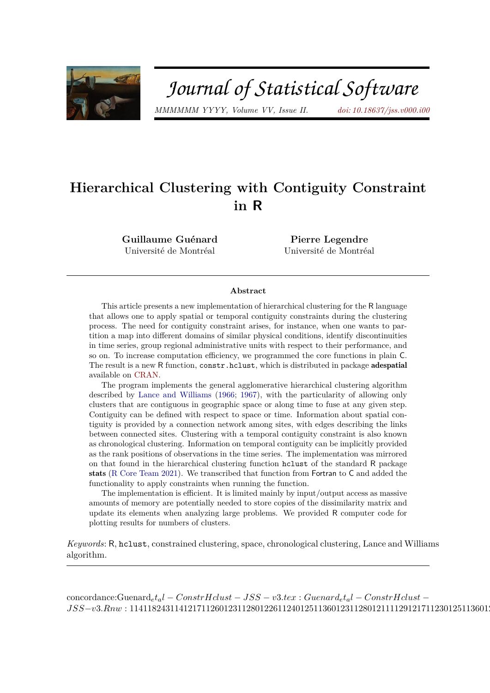

# Journal of Statistical Software

*MMMMMM YYYY, Volume VV, Issue II. [doi: 10.18637/jss.v000.i00](http://dx.doi.org/10.18637/jss.v000.i00)*

# **Hierarchical Clustering with Contiguity Constraint in R**

**Guillaume Guénard** Université de Montréal

**Pierre Legendre** Université de Montréal

#### **Abstract**

This article presents a new implementation of hierarchical clustering for the R language that allows one to apply spatial or temporal contiguity constraints during the clustering process. The need for contiguity constraint arises, for instance, when one wants to partition a map into different domains of similar physical conditions, identify discontinuities in time series, group regional administrative units with respect to their performance, and so on. To increase computation efficiency, we programmed the core functions in plain C. The result is a new R function, constr.hclust, which is distributed in package adespatial available on [CRAN.](https://cran.r-project.org/web/packages/adespatial/index.html)

The program implements the general agglomerative hierarchical clustering algorithm described by [Lance and Williams](#page-24-0) [\(1966;](#page-24-0) [1967\)](#page-24-1), with the particularity of allowing only clusters that are contiguous in geographic space or along time to fuse at any given step. Contiguity can be defined with respect to space or time. Information about spatial contiguity is provided by a connection network among sites, with edges describing the links between connected sites. Clustering with a temporal contiguity constraint is also known as chronological clustering. Information on temporal contiguity can be implicitly provided as the rank positions of observations in the time series. The implementation was mirrored on that found in the hierarchical clustering function hclust of the standard R package stats [\(R Core Team](#page-25-0) [2021\)](#page-25-0). We transcribed that function from Fortran to C and added the functionality to apply constraints when running the function.

The implementation is efficient. It is limited mainly by input/output access as massive amounts of memory are potentially needed to store copies of the dissimilarity matrix and update its elements when analyzing large problems. We provided R computer code for plotting results for numbers of clusters.

*Keywords*: R, hclust, constrained clustering, space, chronological clustering, Lance and Williams algorithm.

concordance:Guenard*etal* − *ConstrHclust* − *JSS* − *v*3*.tex* : *Guenardetal* − *ConstrHclust* −  $JSS-v3.Rnw: 11411824311412171126012311280122611240125113601231128012111129121711230125113601231128012311280123113601231136012311360123113601231136012311360123113601231136012311360123113601231136012311360123113601231136012311$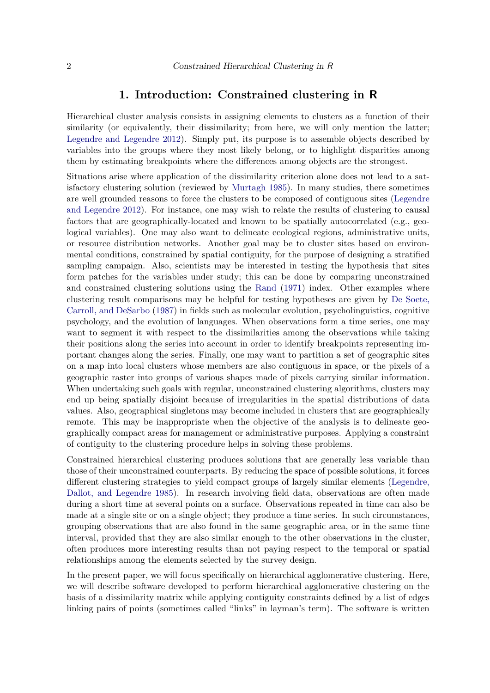#### **1. Introduction: Constrained clustering in R**

Hierarchical cluster analysis consists in assigning elements to clusters as a function of their similarity (or equivalently, their dissimilarity; from here, we will only mention the latter; [Legendre and Legendre](#page-24-2) [2012\)](#page-24-2). Simply put, its purpose is to assemble objects described by variables into the groups where they most likely belong, or to highlight disparities among them by estimating breakpoints where the differences among objects are the strongest.

Situations arise where application of the dissimilarity criterion alone does not lead to a satisfactory clustering solution (reviewed by [Murtagh](#page-24-3) [1985\)](#page-24-3). In many studies, there sometimes are well grounded reasons to force the clusters to be composed of contiguous sites [\(Legendre](#page-24-2) [and Legendre](#page-24-2) [2012\)](#page-24-2). For instance, one may wish to relate the results of clustering to causal factors that are geographically-located and known to be spatially autocorrelated (e.g., geological variables). One may also want to delineate ecological regions, administrative units, or resource distribution networks. Another goal may be to cluster sites based on environmental conditions, constrained by spatial contiguity, for the purpose of designing a stratified sampling campaign. Also, scientists may be interested in testing the hypothesis that sites form patches for the variables under study; this can be done by comparing unconstrained and constrained clustering solutions using the [Rand](#page-25-1) [\(1971\)](#page-25-1) index. Other examples where clustering result comparisons may be helpful for testing hypotheses are given by [De Soete,](#page-23-0) [Carroll, and DeSarbo](#page-23-0) [\(1987\)](#page-23-0) in fields such as molecular evolution, psycholinguistics, cognitive psychology, and the evolution of languages. When observations form a time series, one may want to segment it with respect to the dissimilarities among the observations while taking their positions along the series into account in order to identify breakpoints representing important changes along the series. Finally, one may want to partition a set of geographic sites on a map into local clusters whose members are also contiguous in space, or the pixels of a geographic raster into groups of various shapes made of pixels carrying similar information. When undertaking such goals with regular, unconstrained clustering algorithms, clusters may end up being spatially disjoint because of irregularities in the spatial distributions of data values. Also, geographical singletons may become included in clusters that are geographically remote. This may be inappropriate when the objective of the analysis is to delineate geographically compact areas for management or administrative purposes. Applying a constraint of contiguity to the clustering procedure helps in solving these problems.

Constrained hierarchical clustering produces solutions that are generally less variable than those of their unconstrained counterparts. By reducing the space of possible solutions, it forces different clustering strategies to yield compact groups of largely similar elements [\(Legendre,](#page-24-4) [Dallot, and Legendre](#page-24-4) [1985\)](#page-24-4). In research involving field data, observations are often made during a short time at several points on a surface. Observations repeated in time can also be made at a single site or on a single object; they produce a time series. In such circumstances, grouping observations that are also found in the same geographic area, or in the same time interval, provided that they are also similar enough to the other observations in the cluster, often produces more interesting results than not paying respect to the temporal or spatial relationships among the elements selected by the survey design.

In the present paper, we will focus specifically on hierarchical agglomerative clustering. Here, we will describe software developed to perform hierarchical agglomerative clustering on the basis of a dissimilarity matrix while applying contiguity constraints defined by a list of edges linking pairs of points (sometimes called "links" in layman's term). The software is written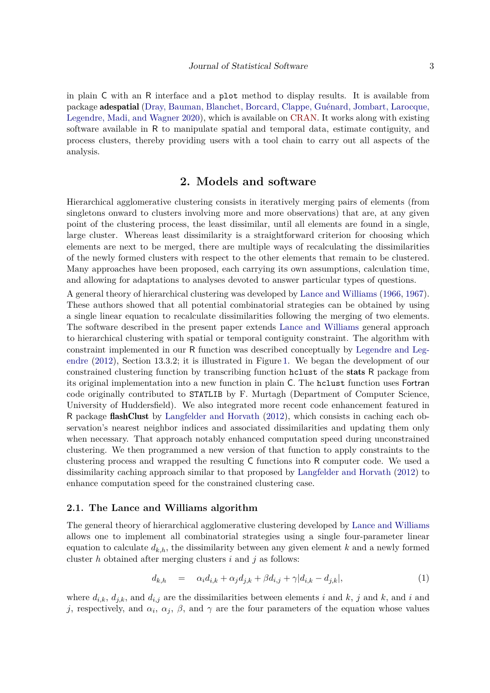in plain C with an R interface and a plot method to display results. It is available from package adespatial [\(Dray, Bauman, Blanchet, Borcard, Clappe, Guénard, Jombart, Larocque,](#page-23-1) [Legendre, Madi, and Wagner](#page-23-1) [2020\)](#page-23-1), which is available on [CRAN.](https://cran.r-project.org/web/packages/adespatial/index.html) It works along with existing software available in R to manipulate spatial and temporal data, estimate contiguity, and process clusters, thereby providing users with a tool chain to carry out all aspects of the analysis.

# **2. Models and software**

Hierarchical agglomerative clustering consists in iteratively merging pairs of elements (from singletons onward to clusters involving more and more observations) that are, at any given point of the clustering process, the least dissimilar, until all elements are found in a single, large cluster. Whereas least dissimilarity is a straightforward criterion for choosing which elements are next to be merged, there are multiple ways of recalculating the dissimilarities of the newly formed clusters with respect to the other elements that remain to be clustered. Many approaches have been proposed, each carrying its own assumptions, calculation time, and allowing for adaptations to analyses devoted to answer particular types of questions.

A general theory of hierarchical clustering was developed by [Lance and Williams](#page-24-0) [\(1966,](#page-24-0) [1967\)](#page-24-1). These authors showed that all potential combinatorial strategies can be obtained by using a single linear equation to recalculate dissimilarities following the merging of two elements. The software described in the present paper extends [Lance and Williams](#page-24-0) general approach to hierarchical clustering with spatial or temporal contiguity constraint. The algorithm with constraint implemented in our R function was described conceptually by [Legendre and Leg](#page-24-2)[endre](#page-24-2) [\(2012\)](#page-24-2), Section 13.3.2; it is illustrated in Figure [1.](#page-3-0) We began the development of our constrained clustering function by transcribing function hclust of the stats R package from its original implementation into a new function in plain C. The hclust function uses Fortran code originally contributed to STATLIB by F. Murtagh (Department of Computer Science, University of Huddersfield). We also integrated more recent code enhancement featured in R package flashClust by [Langfelder and Horvath](#page-24-5) [\(2012\)](#page-24-5), which consists in caching each observation's nearest neighbor indices and associated dissimilarities and updating them only when necessary. That approach notably enhanced computation speed during unconstrained clustering. We then programmed a new version of that function to apply constraints to the clustering process and wrapped the resulting C functions into R computer code. We used a dissimilarity caching approach similar to that proposed by [Langfelder and Horvath](#page-24-5) [\(2012\)](#page-24-5) to enhance computation speed for the constrained clustering case.

#### **2.1. The Lance and Williams algorithm**

The general theory of hierarchical agglomerative clustering developed by [Lance and Williams](#page-24-0) allows one to implement all combinatorial strategies using a single four-parameter linear equation to calculate  $d_{k,h}$ , the dissimilarity between any given element k and a newly formed cluster *h* obtained after merging clusters *i* and *j* as follows:

<span id="page-2-0"></span>
$$
d_{k,h} = \alpha_i d_{i,k} + \alpha_j d_{j,k} + \beta d_{i,j} + \gamma |d_{i,k} - d_{j,k}|,
$$
\n
$$
(1)
$$

where  $d_{i,k}$ ,  $d_{j,k}$ , and  $d_{i,j}$  are the dissimilarities between elements *i* and *k*, *j* and *k*, and *i* and *j*, respectively, and  $\alpha_i$ ,  $\alpha_j$ ,  $\beta$ , and  $\gamma$  are the four parameters of the equation whose values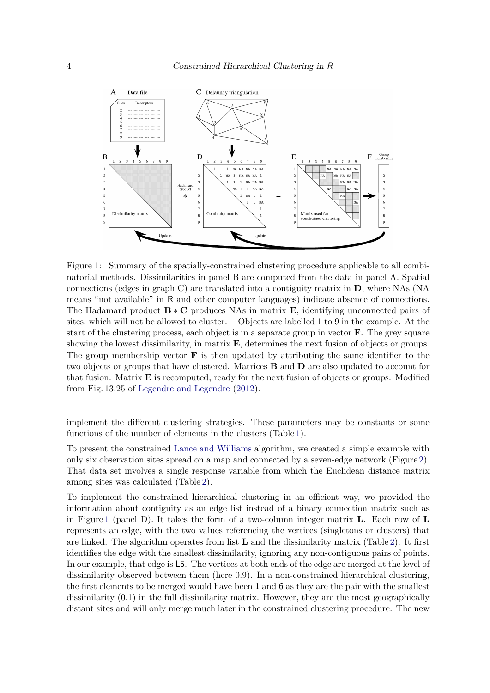

<span id="page-3-0"></span>Figure 1: Summary of the spatially-constrained clustering procedure applicable to all combinatorial methods. Dissimilarities in panel B are computed from the data in panel A. Spatial connections (edges in graph C) are translated into a contiguity matrix in **D**, where NAs (NA means "not available" in R and other computer languages) indicate absence of connections. The Hadamard product **B** ∗ **C** produces NAs in matrix **E**, identifying unconnected pairs of sites, which will not be allowed to cluster. – Objects are labelled 1 to 9 in the example. At the start of the clustering process, each object is in a separate group in vector **F**. The grey square showing the lowest dissimilarity, in matrix **E**, determines the next fusion of objects or groups. The group membership vector **F** is then updated by attributing the same identifier to the two objects or groups that have clustered. Matrices **B** and **D** are also updated to account for that fusion. Matrix **E** is recomputed, ready for the next fusion of objects or groups. Modified from Fig. 13.25 of [Legendre and Legendre](#page-24-2) [\(2012\)](#page-24-2).

implement the different clustering strategies. These parameters may be constants or some functions of the number of elements in the clusters (Table [1\)](#page-4-0).

To present the constrained [Lance and Williams](#page-24-1) algorithm, we created a simple example with only six observation sites spread on a map and connected by a seven-edge network (Figure [2\)](#page-5-0). That data set involves a single response variable from which the Euclidean distance matrix among sites was calculated (Table [2\)](#page-4-1).

To implement the constrained hierarchical clustering in an efficient way, we provided the information about contiguity as an edge list instead of a binary connection matrix such as in Figure [1](#page-3-0) (panel D). It takes the form of a two-column integer matrix **L**. Each row of **L** represents an edge, with the two values referencing the vertices (singletons or clusters) that are linked. The algorithm operates from list **L** and the dissimilarity matrix (Table [2\)](#page-4-1). It first identifies the edge with the smallest dissimilarity, ignoring any non-contiguous pairs of points. In our example, that edge is L5. The vertices at both ends of the edge are merged at the level of dissimilarity observed between them (here 0.9). In a non-constrained hierarchical clustering, the first elements to be merged would have been 1 and 6 as they are the pair with the smallest dissimilarity (0.1) in the full dissimilarity matrix. However, they are the most geographically distant sites and will only merge much later in the constrained clustering procedure. The new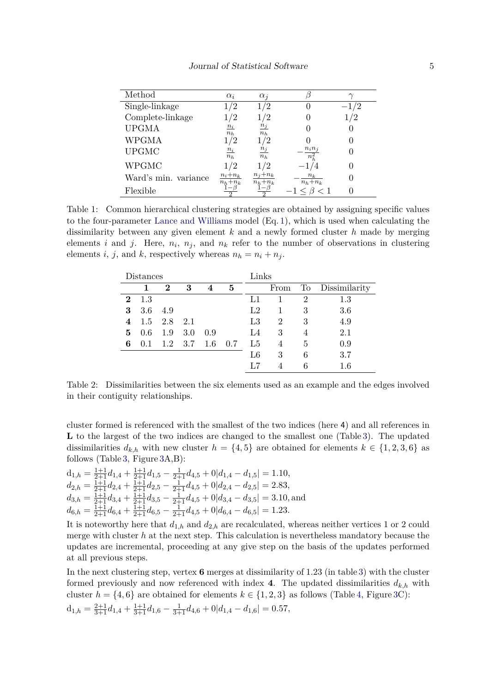| Method               | $\alpha_i$             | $\alpha_i$                   |                      |    |
|----------------------|------------------------|------------------------------|----------------------|----|
| Single-linkage       | 1/2                    | $1/2\,$                      |                      | /2 |
| Complete-linkage     | 12                     | 1/2                          |                      |    |
| <b>UPGMA</b>         | $n_i$<br>$n_h$         | $\frac{n_j}{\cdot}$<br>$n_h$ |                      |    |
| <b>WPGMA</b>         |                        |                              |                      |    |
| <b>UPGMC</b>         | $n_i$<br>$n_h$         | $n_j$<br>$n_h$               | $n_i n_j$<br>$n_h^2$ |    |
| <b>WPGMC</b>         | /2                     | 1 / 2                        |                      |    |
| Ward's min. variance | $n_i+n_k$<br>$n_h+n_k$ | $n_i+n_k$<br>$n_h+n_k$       | $n_k$<br>$n_h+n_k$   |    |
| Flexible             |                        |                              |                      |    |

<span id="page-4-0"></span>Table 1: Common hierarchical clustering strategies are obtained by assigning specific values to the four-parameter [Lance and Williams](#page-24-1) model (Eq. [1\)](#page-2-0), which is used when calculating the dissimilarity between any given element *k* and a newly formed cluster *h* made by merging elements *i* and *j*. Here,  $n_i$ ,  $n_j$ , and  $n_k$  refer to the number of observations in clustering elements *i*, *j*, and *k*, respectively whereas  $n_h = n_i + n_j$ .

| Distances |     |          |     |         |     | Links       |      |    |               |  |
|-----------|-----|----------|-----|---------|-----|-------------|------|----|---------------|--|
|           | 1   | $\bf{2}$ | 3   | 4       | 5   |             | From | To | Dissimilarity |  |
| $\bf{2}$  | 1.3 |          |     |         |     | L1          |      | 2  | $1.3\,$       |  |
| 3         | 3.6 | 4.9      |     |         |     | L2          |      | 3  | 3.6           |  |
| 4         | 1.5 | 2.8      | 2.1 |         |     | L3          | 2    | 3  | 4.9           |  |
| 5         | 0.6 | 1.9      | 3.0 | 0.9     |     | L4          | 3    | 4  | 2.1           |  |
| 6         | 0.1 | 1.2      | 3.7 | $1.6\,$ | 0.7 | L5          | 4    | 5  | 0.9           |  |
|           |     |          |     |         |     | $_{\rm L6}$ | 3    | 6  | 3.7           |  |
|           |     |          |     |         |     | L7          |      | 6  | 1.6           |  |

<span id="page-4-1"></span>Table 2: Dissimilarities between the six elements used as an example and the edges involved in their contiguity relationships.

cluster formed is referenced with the smallest of the two indices (here 4) and all references in **L** to the largest of the two indices are changed to the smallest one (Table [3\)](#page-6-0). The updated dissimilarities  $d_{k,h}$  with new cluster  $h = \{4, 5\}$  are obtained for elements  $k \in \{1, 2, 3, 6\}$  as follows (Table [3,](#page-6-0) Figure [3A](#page-7-0),B):

$$
d_{1,h} = \frac{1+1}{2+1}d_{1,4} + \frac{1+1}{2+1}d_{1,5} - \frac{1}{2+1}d_{4,5} + 0|d_{1,4} - d_{1,5}| = 1.10,
$$
  
\n
$$
d_{2,h} = \frac{1+1}{2+1}d_{2,4} + \frac{1+1}{2+1}d_{2,5} - \frac{1}{2+1}d_{4,5} + 0|d_{2,4} - d_{2,5}| = 2.83,
$$
  
\n
$$
d_{3,h} = \frac{1+1}{2+1}d_{3,4} + \frac{1+1}{2+1}d_{3,5} - \frac{1}{2+1}d_{4,5} + 0|d_{3,4} - d_{3,5}| = 3.10, \text{and}
$$
  
\n
$$
d_{6,h} = \frac{1+1}{2+1}d_{6,4} + \frac{1+1}{2+1}d_{6,5} - \frac{1}{2+1}d_{4,5} + 0|d_{6,4} - d_{6,5}| = 1.23.
$$

It is noteworthy here that  $d_{1,h}$  and  $d_{2,h}$  are recalculated, whereas neither vertices 1 or 2 could merge with cluster *h* at the next step. This calculation is nevertheless mandatory because the updates are incremental, proceeding at any give step on the basis of the updates performed at all previous steps.

In the next clustering step, vertex **6** merges at dissimilarity of 1*.*23 (in table [3\)](#page-6-0) with the cluster formed previously and now referenced with index 4. The updated dissimilarities  $d_{k,h}$  with cluster  $h = \{4, 6\}$  $h = \{4, 6\}$  $h = \{4, 6\}$  are obtained for elements  $k \in \{1, 2, 3\}$  as follows (Table 4, Figure [3C](#page-7-0)):  $d_{1,h} = \frac{2+1}{3+1} d_{1,4} + \frac{1+1}{3+1} d_{1,6} - \frac{1}{3+1} d_{4,6} + 0 |d_{1,4} - d_{1,6}| = 0.57$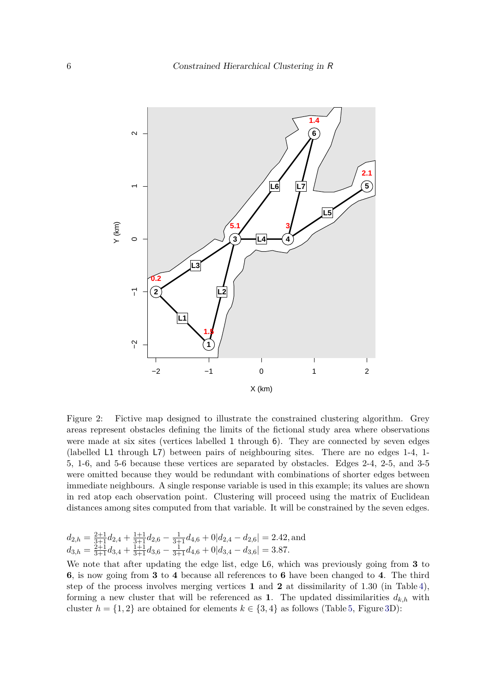

<span id="page-5-0"></span>Figure 2: Fictive map designed to illustrate the constrained clustering algorithm. Grey areas represent obstacles defining the limits of the fictional study area where observations were made at six sites (vertices labelled 1 through 6). They are connected by seven edges (labelled L1 through L7) between pairs of neighbouring sites. There are no edges 1-4, 1- 5, 1-6, and 5-6 because these vertices are separated by obstacles. Edges 2-4, 2-5, and 3-5 were omitted because they would be redundant with combinations of shorter edges between immediate neighbours. A single response variable is used in this example; its values are shown in red atop each observation point. Clustering will proceed using the matrix of Euclidean distances among sites computed from that variable. It will be constrained by the seven edges.

$$
\begin{array}{l} d_{2,h} = \frac{2+1}{3+1} d_{2,4} + \frac{1+1}{3+1} d_{2,6} - \frac{1}{3+1} d_{4,6} + 0 | d_{2,4} - d_{2,6} | = 2.42, \text{and} \\ d_{3,h} = \frac{2+1}{3+1} d_{3,4} + \frac{1+1}{3+1} d_{3,6} - \frac{1}{3+1} d_{4,6} + 0 | d_{3,4} - d_{3,6} | = 3.87. \end{array}
$$

We note that after updating the edge list, edge L6, which was previously going from **3** to **6**, is now going from **3** to **4** because all references to **6** have been changed to **4**. The third step of the process involves merging vertices **1** and **2** at dissimilarity of 1*.*30 (in Table [4\)](#page-6-1), forming a new cluster that will be referenced as 1. The updated dissimilarities  $d_{k,h}$  with cluster  $h = \{1, 2\}$  are obtained for elements  $k \in \{3, 4\}$  as follows (Table [5,](#page-6-2) Figure [3D](#page-7-0)):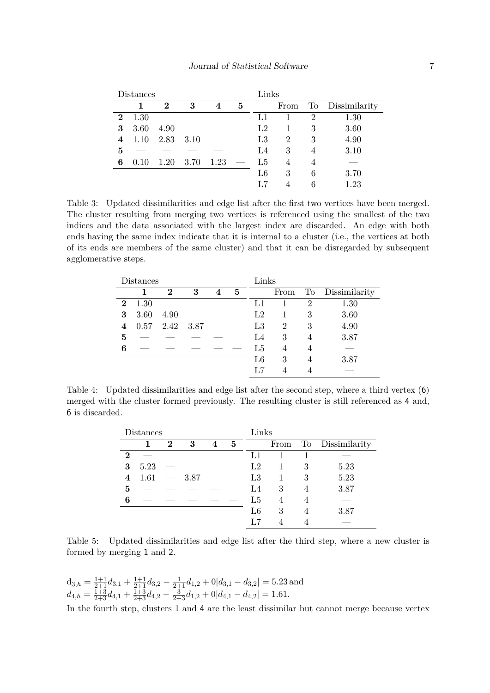|          | Distances |          |      |                | Links |                |                |                     |               |
|----------|-----------|----------|------|----------------|-------|----------------|----------------|---------------------|---------------|
|          |           | $\bf{2}$ | 3    | $\overline{4}$ | 5     |                | From           | $\operatorname{To}$ | Dissimilarity |
| $\bf{2}$ | 1.30      |          |      |                |       | L1             |                | 2                   | 1.30          |
| 3        | 3.60      | 4.90     |      |                |       | L <sub>2</sub> |                | 3                   | 3.60          |
| 4        | 1.10      | 2.83     | 3.10 |                |       | $L_{3}$        | $\overline{2}$ | 3                   | 4.90          |
| 5        |           |          |      |                |       | L4             | 3              | 4                   | 3.10          |
| 6        | 0.10      | 1.20     | 3.70 | 1.23           |       | L5             | 4              | 4                   |               |
|          |           |          |      |                |       | L6             | 3              | 6                   | 3.70          |
|          |           |          |      |                |       | L7             | 4              | 6                   | 1.23          |

<span id="page-6-0"></span>Table 3: Updated dissimilarities and edge list after the first two vertices have been merged. The cluster resulting from merging two vertices is referenced using the smallest of the two indices and the data associated with the largest index are discarded. An edge with both ends having the same index indicate that it is internal to a cluster (i.e., the vertices at both of its ends are members of the same cluster) and that it can be disregarded by subsequent agglomerative steps.

|          | Distances |          |      |   | Links |                |      |                |               |
|----------|-----------|----------|------|---|-------|----------------|------|----------------|---------------|
|          |           | $\bf{2}$ | 3    | 4 | 5     |                | From | To             | Dissimilarity |
| $\bf{2}$ | 1.30      |          |      |   |       | L1             |      | $\overline{2}$ | 1.30          |
| 3        | 3.60      | 4.90     |      |   |       | L <sub>2</sub> |      | 3              | 3.60          |
| 4        | 0.57      | 2.42     | 3.87 |   |       | L3             | 2    | 3              | 4.90          |
| 5        |           |          |      |   |       | L <sub>4</sub> | 3    |                | 3.87          |
| 6        |           |          |      |   |       | L5             | 4    | 4              |               |
|          |           |          |      |   |       | L6             | 3    | 4              | 3.87          |
|          |           |          |      |   |       | L7             | 4    |                |               |

<span id="page-6-1"></span>Table 4: Updated dissimilarities and edge list after the second step, where a third vertex (6) merged with the cluster formed previously. The resulting cluster is still referenced as 4 and, 6 is discarded.

| Distances |      |          |      |   |   | Links       |      |   |                  |  |
|-----------|------|----------|------|---|---|-------------|------|---|------------------|--|
|           |      | $\bf{2}$ | 3    | 4 | 5 |             | From |   | To Dissimilarity |  |
| 2         |      |          |      |   |   | L1          |      |   |                  |  |
| 3         | 5.23 |          |      |   |   | $^{\rm L2}$ |      | 3 | 5.23             |  |
| 4         | 1.61 |          | 3.87 |   |   | L3          |      | 3 | 5.23             |  |
| 5         |      |          |      |   |   | L4          | 3    |   | 3.87             |  |
| 6         |      |          |      |   |   | L5          | 4    |   |                  |  |
|           |      |          |      |   |   | L6          | 3    |   | 3.87             |  |
|           |      |          |      |   |   |             |      |   |                  |  |

<span id="page-6-2"></span>Table 5: Updated dissimilarities and edge list after the third step, where a new cluster is formed by merging 1 and 2.

$$
d_{3,h} = \frac{1+1}{2+1}d_{3,1} + \frac{1+1}{2+1}d_{3,2} - \frac{1}{2+1}d_{1,2} + 0|d_{3,1} - d_{3,2}| = 5.23
$$
 and  
\n $d_{4,h} = \frac{1+3}{2+3}d_{4,1} + \frac{1+3}{2+3}d_{4,2} - \frac{3}{2+3}d_{1,2} + 0|d_{4,1} - d_{4,2}| = 1.61.$ 

In the fourth step, clusters 1 and 4 are the least dissimilar but cannot merge because vertex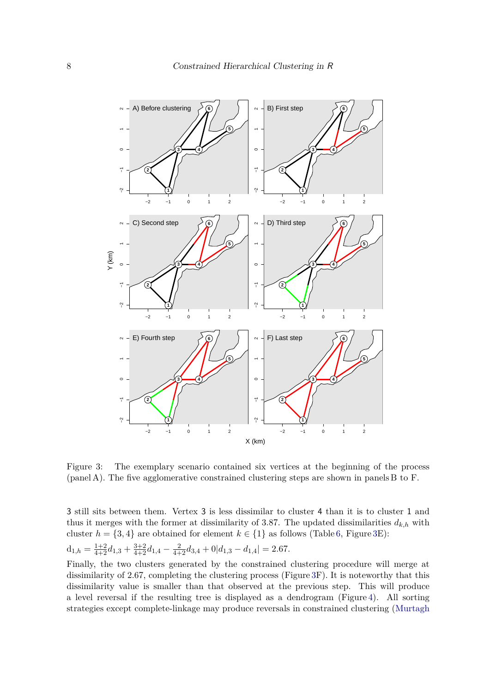

<span id="page-7-0"></span>Figure 3: The exemplary scenario contained six vertices at the beginning of the process (panel A). The five agglomerative constrained clustering steps are shown in panels B to F.

3 still sits between them. Vertex 3 is less dissimilar to cluster 4 than it is to cluster 1 and thus it merges with the former at dissimilarity of 3.87. The updated dissimilarities  $d_{k,h}$  with cluster  $h = \{3, 4\}$  are obtained for element  $k \in \{1\}$  as follows (Table [6,](#page-8-0) Figure [3E](#page-7-0)):

$$
d_{1,h} = \frac{1+2}{4+2}d_{1,3} + \frac{3+2}{4+2}d_{1,4} - \frac{2}{4+2}d_{3,4} + 0|d_{1,3} - d_{1,4}| = 2.67.
$$

Finally, the two clusters generated by the constrained clustering procedure will merge at dissimilarity of 2*.*67, completing the clustering process (Figure [3F](#page-7-0)). It is noteworthy that this dissimilarity value is smaller than that observed at the previous step. This will produce a level reversal if the resulting tree is displayed as a dendrogram (Figure [4\)](#page-8-1). All sorting strategies except complete-linkage may produce reversals in constrained clustering [\(Murtagh](#page-24-3)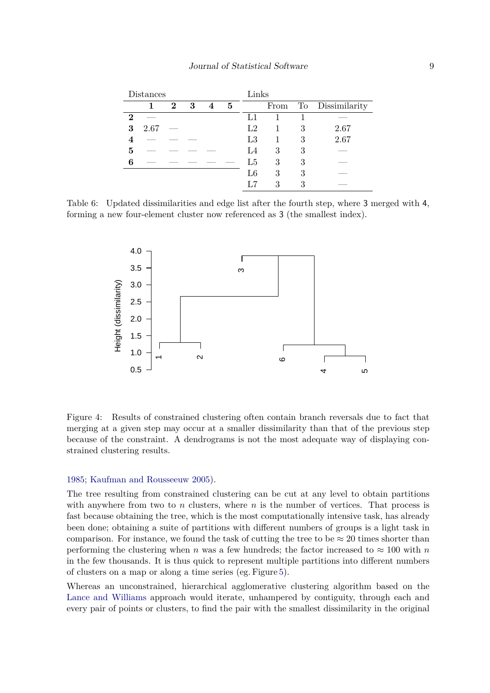| Distances |      |                         |     |                |                 |             | Links |   |                  |  |  |
|-----------|------|-------------------------|-----|----------------|-----------------|-------------|-------|---|------------------|--|--|
|           |      | $\overline{\mathbf{2}}$ | - 3 | $\overline{4}$ | $5\phantom{.0}$ |             | From  |   | To Dissimilarity |  |  |
| 2         |      |                         |     |                |                 | L1          |       |   |                  |  |  |
| 3         | 2.67 |                         |     |                |                 | $^{\rm L2}$ |       | 3 | 2.67             |  |  |
|           |      |                         |     |                |                 | L3          |       | 3 | 2.67             |  |  |
| 5         |      |                         |     |                |                 | L4          | 3     | 3 |                  |  |  |
| 6         |      |                         |     |                |                 | L5          | 3     | 3 |                  |  |  |
|           |      |                         |     |                |                 | $_{\rm L6}$ | 3     | 3 |                  |  |  |
|           |      |                         |     |                |                 |             | 3     | 3 |                  |  |  |

<span id="page-8-0"></span>Table 6: Updated dissimilarities and edge list after the fourth step, where 3 merged with 4, forming a new four-element cluster now referenced as 3 (the smallest index).



<span id="page-8-1"></span>Figure 4: Results of constrained clustering often contain branch reversals due to fact that merging at a given step may occur at a smaller dissimilarity than that of the previous step because of the constraint. A dendrograms is not the most adequate way of displaying constrained clustering results.

#### [1985;](#page-24-3) [Kaufman and Rousseeuw](#page-24-6) [2005\)](#page-24-6).

The tree resulting from constrained clustering can be cut at any level to obtain partitions with anywhere from two to *n* clusters, where *n* is the number of vertices. That process is fast because obtaining the tree, which is the most computationally intensive task, has already been done; obtaining a suite of partitions with different numbers of groups is a light task in comparison. For instance, we found the task of cutting the tree to be  $\approx 20$  times shorter than performing the clustering when *n* was a few hundreds; the factor increased to  $\approx 100$  with *n* in the few thousands. It is thus quick to represent multiple partitions into different numbers of clusters on a map or along a time series (eg. Figure [5\)](#page-9-0).

Whereas an unconstrained, hierarchical agglomerative clustering algorithm based on the [Lance and Williams](#page-24-0) approach would iterate, unhampered by contiguity, through each and every pair of points or clusters, to find the pair with the smallest dissimilarity in the original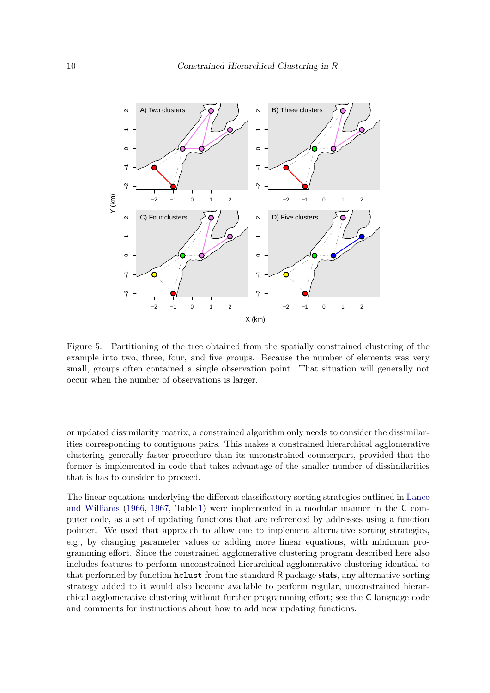

<span id="page-9-0"></span>Figure 5: Partitioning of the tree obtained from the spatially constrained clustering of the example into two, three, four, and five groups. Because the number of elements was very small, groups often contained a single observation point. That situation will generally not occur when the number of observations is larger.

or updated dissimilarity matrix, a constrained algorithm only needs to consider the dissimilarities corresponding to contiguous pairs. This makes a constrained hierarchical agglomerative clustering generally faster procedure than its unconstrained counterpart, provided that the former is implemented in code that takes advantage of the smaller number of dissimilarities that is has to consider to proceed.

The linear equations underlying the different classificatory sorting strategies outlined in [Lance](#page-24-0) [and Williams](#page-24-0) [\(1966,](#page-24-0) [1967,](#page-24-1) Table [1\)](#page-4-0) were implemented in a modular manner in the C computer code, as a set of updating functions that are referenced by addresses using a function pointer. We used that approach to allow one to implement alternative sorting strategies, e.g., by changing parameter values or adding more linear equations, with minimum programming effort. Since the constrained agglomerative clustering program described here also includes features to perform unconstrained hierarchical agglomerative clustering identical to that performed by function hclust from the standard R package stats, any alternative sorting strategy added to it would also become available to perform regular, unconstrained hierarchical agglomerative clustering without further programming effort; see the C language code and comments for instructions about how to add new updating functions.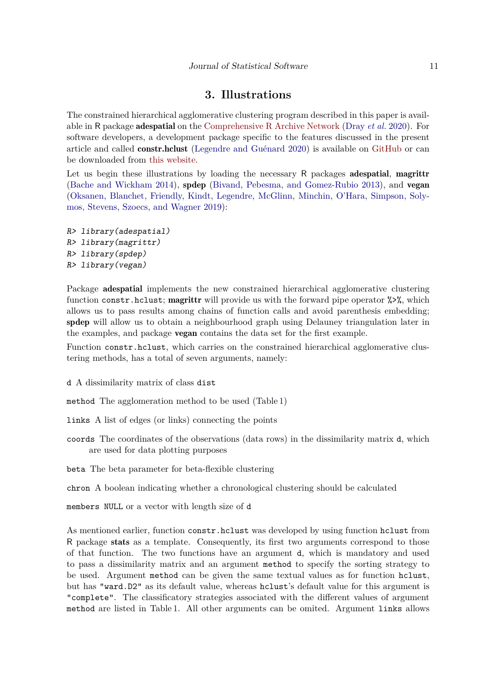# **3. Illustrations**

The constrained hierarchical agglomerative clustering program described in this paper is available in R package adespatial on the [Comprehensive R Archive Network](https://cran.r-project.org/web/packages/adespatial/index.html) [\(Dray](#page-23-1) *et al.* [2020\)](#page-23-1). For software developers, a development package specific to the features discussed in the present article and called constr.hclust [\(Legendre and Guénard](#page-24-7) [2020\)](#page-24-7) is available on [GitHub](https://github.com/guenardg/constr.hclust) or can be downloaded from [this website.](http://adn.biol.umontreal.ca/~numericalecology/Rcode/)

Let us begin these illustrations by loading the necessary R packages adespatial, magrittr [\(Bache and Wickham](#page-23-2) [2014\)](#page-23-2), spdep [\(Bivand, Pebesma, and Gomez-Rubio](#page-23-3) [2013\)](#page-23-3), and vegan [\(Oksanen, Blanchet, Friendly, Kindt, Legendre, McGlinn, Minchin, O'Hara, Simpson, Soly](#page-24-8)[mos, Stevens, Szoecs, and Wagner](#page-24-8) [2019\)](#page-24-8):

```
R> library(adespatial)
R> library(magrittr)
R> library(spdep)
R> library(vegan)
```
Package adespatial implements the new constrained hierarchical agglomerative clustering function constr.hclust; magrittr will provide us with the forward pipe operator  $\frac{1}{2}$ , which allows us to pass results among chains of function calls and avoid parenthesis embedding; spdep will allow us to obtain a neighbourhood graph using Delauney triangulation later in the examples, and package vegan contains the data set for the first example.

Function constr.hclust, which carries on the constrained hierarchical agglomerative clustering methods, has a total of seven arguments, namely:

d A dissimilarity matrix of class dist

method The agglomeration method to be used (Table [1\)](#page-4-0)

links A list of edges (or links) connecting the points

coords The coordinates of the observations (data rows) in the dissimilarity matrix d, which are used for data plotting purposes

beta The beta parameter for beta-flexible clustering

chron A boolean indicating whether a chronological clustering should be calculated

members NULL or a vector with length size of d

As mentioned earlier, function constr.hclust was developed by using function hclust from R package stats as a template. Consequently, its first two arguments correspond to those of that function. The two functions have an argument d, which is mandatory and used to pass a dissimilarity matrix and an argument method to specify the sorting strategy to be used. Argument method can be given the same textual values as for function hclust, but has "ward.D2" as its default value, whereas hclust's default value for this argument is "complete". The classificatory strategies associated with the different values of argument method are listed in Table [1.](#page-4-0) All other arguments can be omited. Argument links allows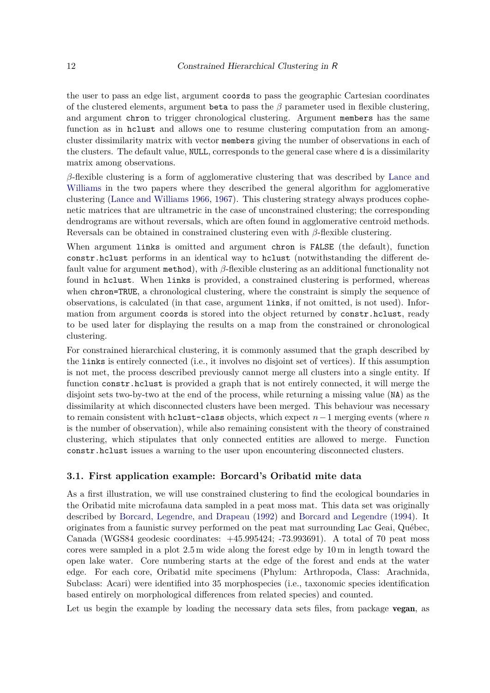the user to pass an edge list, argument coords to pass the geographic Cartesian coordinates of the clustered elements, argument beta to pass the  $\beta$  parameter used in flexible clustering, and argument chron to trigger chronological clustering. Argument members has the same function as in hclust and allows one to resume clustering computation from an amongcluster dissimilarity matrix with vector members giving the number of observations in each of the clusters. The default value, NULL, corresponds to the general case where d is a dissimilarity matrix among observations.

*β*-flexible clustering is a form of agglomerative clustering that was described by [Lance and](#page-24-0) [Williams](#page-24-0) in the two papers where they described the general algorithm for agglomerative clustering [\(Lance and Williams](#page-24-0) [1966,](#page-24-0) [1967\)](#page-24-1). This clustering strategy always produces cophenetic matrices that are ultrametric in the case of unconstrained clustering; the corresponding dendrograms are without reversals, which are often found in agglomerative centroid methods. Reversals can be obtained in constrained clustering even with *β*-flexible clustering.

When argument links is omitted and argument chron is FALSE (the default), function constr.hclust performs in an identical way to hclust (notwithstanding the different default value for argument method), with *β*-flexible clustering as an additional functionality not found in hclust. When links is provided, a constrained clustering is performed, whereas when chron=TRUE, a chronological clustering, where the constraint is simply the sequence of observations, is calculated (in that case, argument links, if not omitted, is not used). Information from argument coords is stored into the object returned by constr.hclust, ready to be used later for displaying the results on a map from the constrained or chronological clustering.

For constrained hierarchical clustering, it is commonly assumed that the graph described by the links is entirely connected (i.e., it involves no disjoint set of vertices). If this assumption is not met, the process described previously cannot merge all clusters into a single entity. If function constr.hclust is provided a graph that is not entirely connected, it will merge the disjoint sets two-by-two at the end of the process, while returning a missing value (NA) as the dissimilarity at which disconnected clusters have been merged. This behaviour was necessary to remain consistent with hclust-class objects, which expect *n*−1 merging events (where *n* is the number of observation), while also remaining consistent with the theory of constrained clustering, which stipulates that only connected entities are allowed to merge. Function constr.hclust issues a warning to the user upon encountering disconnected clusters.

#### **3.1. First application example: Borcard's Oribatid mite data**

As a first illustration, we will use constrained clustering to find the ecological boundaries in the Oribatid mite microfauna data sampled in a peat moss mat. This data set was originally described by [Borcard, Legendre, and Drapeau](#page-23-4) [\(1992\)](#page-23-4) and [Borcard and Legendre](#page-23-5) [\(1994\)](#page-23-5). It originates from a faunistic survey performed on the peat mat surrounding Lac Geai, Québec, Canada (WGS84 geodesic coordinates: +45.995424; -73.993691). A total of 70 peat moss cores were sampled in a plot 2*.*5 m wide along the forest edge by 10 m in length toward the open lake water. Core numbering starts at the edge of the forest and ends at the water edge. For each core, Oribatid mite specimens (Phylum: Arthropoda, Class: Arachnida, Subclass: Acari) were identified into 35 morphospecies (i.e., taxonomic species identification based entirely on morphological differences from related species) and counted.

Let us begin the example by loading the necessary data sets files, from package **vegan**, as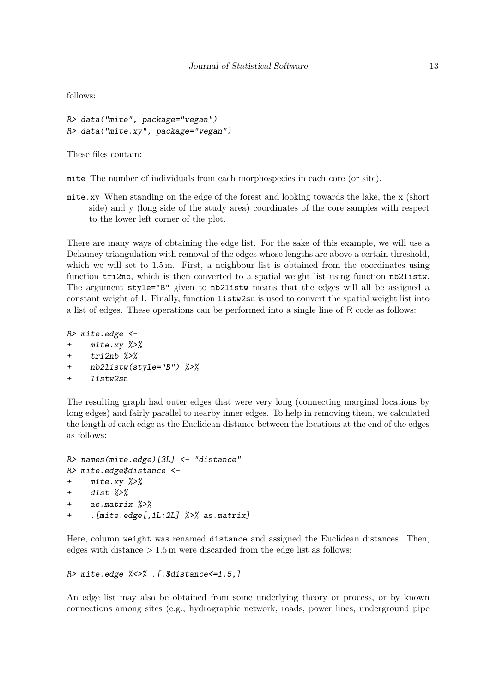follows:

R> data("mite", package="vegan") R> data("mite.xy", package="vegan")

These files contain:

mite The number of individuals from each morphospecies in each core (or site).

mite.xy When standing on the edge of the forest and looking towards the lake, the x (short side) and y (long side of the study area) coordinates of the core samples with respect to the lower left corner of the plot.

There are many ways of obtaining the edge list. For the sake of this example, we will use a Delauney triangulation with removal of the edges whose lengths are above a certain threshold, which we will set to 1.5 m. First, a neighbour list is obtained from the coordinates using function tri2nb, which is then converted to a spatial weight list using function nb2listw. The argument style="B" given to nb2listw means that the edges will all be assigned a constant weight of 1. Finally, function listw2sn is used to convert the spatial weight list into a list of edges. These operations can be performed into a single line of R code as follows:

```
R> mite.edge <-
+ mite.xy %>%
+ tri2nb %>%
+ nb2listw(style="B") %>%
+ listw2sn
```
The resulting graph had outer edges that were very long (connecting marginal locations by long edges) and fairly parallel to nearby inner edges. To help in removing them, we calculated the length of each edge as the Euclidean distance between the locations at the end of the edges as follows:

```
R> names(mite.edge)[3L] <- "distance"
R> mite.edge$distance <-
+ mite.xy %>%
+ dist %>%
+ as.matrix %>%
     . [mite.edge[,1L:2L] %>% as.matrix]
```
Here, column weight was renamed distance and assigned the Euclidean distances. Then, edges with distance *>* 1*.*5 m were discarded from the edge list as follows:

```
R> mite.edge %<>% .[.$distance<=1.5,]
```
An edge list may also be obtained from some underlying theory or process, or by known connections among sites (e.g., hydrographic network, roads, power lines, underground pipe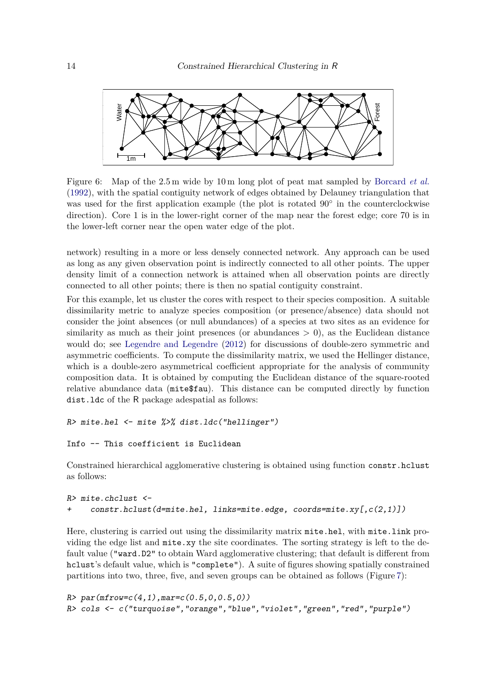

Figure 6: Map of the 2.5 m wide by 10 m long plot of peat mat sampled by [Borcard](#page-23-4) *et al.* [\(1992\)](#page-23-4), with the spatial contiguity network of edges obtained by Delauney triangulation that was used for the first application example (the plot is rotated 90° in the counterclockwise direction). Core 1 is in the lower-right corner of the map near the forest edge; core 70 is in the lower-left corner near the open water edge of the plot.

network) resulting in a more or less densely connected network. Any approach can be used as long as any given observation point is indirectly connected to all other points. The upper density limit of a connection network is attained when all observation points are directly connected to all other points; there is then no spatial contiguity constraint.

For this example, let us cluster the cores with respect to their species composition. A suitable dissimilarity metric to analyze species composition (or presence/absence) data should not consider the joint absences (or null abundances) of a species at two sites as an evidence for similarity as much as their joint presences (or abundances  $> 0$ ), as the Euclidean distance would do; see [Legendre and Legendre](#page-24-2) [\(2012\)](#page-24-2) for discussions of double-zero symmetric and asymmetric coefficients. To compute the dissimilarity matrix, we used the Hellinger distance, which is a double-zero asymmetrical coefficient appropriate for the analysis of community composition data. It is obtained by computing the Euclidean distance of the square-rooted relative abundance data (mite\$fau). This distance can be computed directly by function dist.ldc of the R package adespatial as follows:

```
R> mite.hel <- mite %>% dist.ldc("hellinger")
```

```
Info -- This coefficient is Euclidean
```
Constrained hierarchical agglomerative clustering is obtained using function constr.hclust as follows:

```
R> mite.chclust <-
+ constr.hclust(d=mite.hel, links=mite.edge, coords=mite.xy[,c(2,1)])
```
Here, clustering is carried out using the dissimilarity matrix  $m$  it e.hel, with  $m$  it e.link providing the edge list and mite.xy the site coordinates. The sorting strategy is left to the default value ("ward.D2" to obtain Ward agglomerative clustering; that default is different from hclust's default value, which is "complete"). A suite of figures showing spatially constrained partitions into two, three, five, and seven groups can be obtained as follows (Figure [7\)](#page-15-0):

```
R > par(mfrow=c(4,1),mar=c(0.5,0,0.5,0))R> cols <- c("turquoise","orange","blue","violet","green","red","purple")
```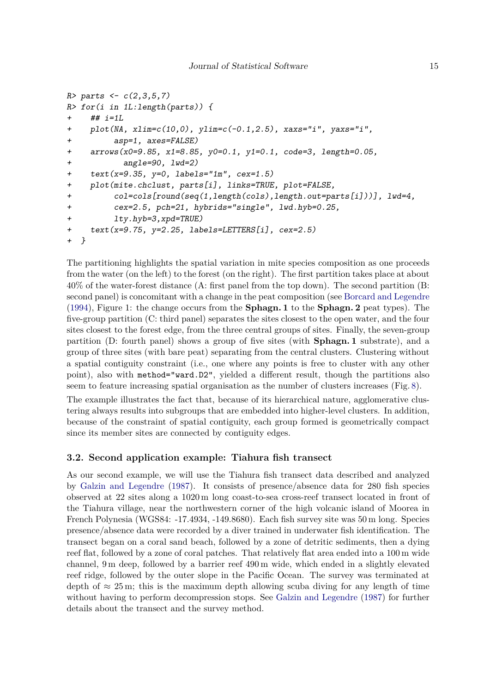```
R> parts <- c(2,3,5,7)R> for(i in 1L:length(parts)) {
+ ## i=1L
+ plot(NA, xlim=c(10,0), ylim=c(-0.1, 2.5), xaxis="i", yaxis="i",+ asp=1, axes=FALSE)
+ arrows(x0=9.85, x1=8.85, y0=0.1, y1=0.1, code=3, length=0.05,
+ angle=90, lwd=2)
+ text(x=9.35, y=0, labels="1m", cex=1.5)
+ plot(mite.chclust, parts[i], links=TRUE, plot=FALSE,
+ col=cols[round(seq(1,length(cols),length.out=parts[i]))], lwd=4,
+ cex=2.5, pch=21, hybrids="single", lwd.hyb=0.25,
+ lty.hyb=3,xpd=TRUE)
+ text(x=9.75, y=2.25, labels=LETTERS[i], cex=2.5)
+ }
```
The partitioning highlights the spatial variation in mite species composition as one proceeds from the water (on the left) to the forest (on the right). The first partition takes place at about 40% of the water-forest distance (A: first panel from the top down). The second partition (B: second panel) is concomitant with a change in the peat composition (see [Borcard and Legendre](#page-23-5) [\(1994\)](#page-23-5), Figure 1: the change occurs from the **Sphagn. 1** to the **Sphagn. 2** peat types). The five-group partition (C: third panel) separates the sites closest to the open water, and the four sites closest to the forest edge, from the three central groups of sites. Finally, the seven-group partition (D: fourth panel) shows a group of five sites (with **Sphagn. 1** substrate), and a group of three sites (with bare peat) separating from the central clusters. Clustering without a spatial contiguity constraint (i.e., one where any points is free to cluster with any other point), also with method="ward.D2", yielded a different result, though the partitions also seem to feature increasing spatial organisation as the number of clusters increases (Fig. [8\)](#page-16-0).

The example illustrates the fact that, because of its hierarchical nature, agglomerative clustering always results into subgroups that are embedded into higher-level clusters. In addition, because of the constraint of spatial contiguity, each group formed is geometrically compact since its member sites are connected by contiguity edges.

## **3.2. Second application example: Tiahura fish transect**

As our second example, we will use the Tiahura fish transect data described and analyzed by [Galzin and Legendre](#page-24-9) [\(1987\)](#page-24-9). It consists of presence/absence data for 280 fish species observed at 22 sites along a 1020 m long coast-to-sea cross-reef transect located in front of the Tiahura village, near the northwestern corner of the high volcanic island of Moorea in French Polynesia (WGS84: -17.4934, -149.8680). Each fish survey site was 50 m long. Species presence/absence data were recorded by a diver trained in underwater fish identification. The transect began on a coral sand beach, followed by a zone of detritic sediments, then a dying reef flat, followed by a zone of coral patches. That relatively flat area ended into a 100 m wide channel, 9 m deep, followed by a barrier reef 490 m wide, which ended in a slightly elevated reef ridge, followed by the outer slope in the Pacific Ocean. The survey was terminated at depth of  $\approx 25 \,\mathrm{m}$ ; this is the maximum depth allowing scuba diving for any length of time without having to perform decompression stops. See [Galzin and Legendre](#page-24-9) [\(1987\)](#page-24-9) for further details about the transect and the survey method.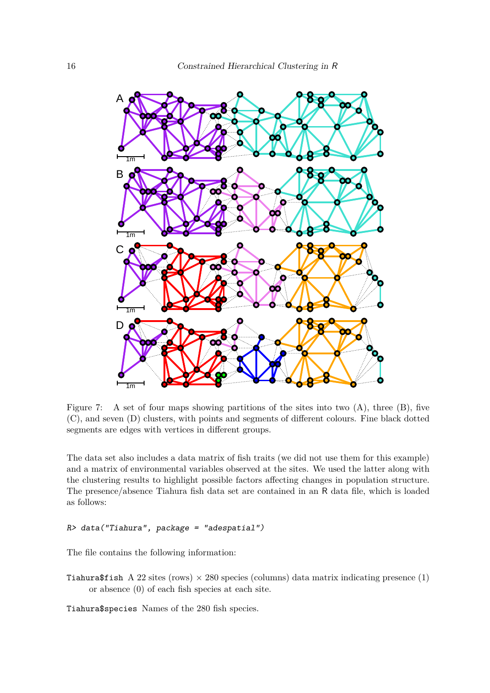

<span id="page-15-0"></span>Figure 7: A set of four maps showing partitions of the sites into two  $(A)$ , three  $(B)$ , five (C), and seven (D) clusters, with points and segments of different colours. Fine black dotted segments are edges with vertices in different groups.

The data set also includes a data matrix of fish traits (we did not use them for this example) and a matrix of environmental variables observed at the sites. We used the latter along with the clustering results to highlight possible factors affecting changes in population structure. The presence/absence Tiahura fish data set are contained in an R data file, which is loaded as follows:

```
R> data("Tiahura", package = "adespatial")
```
The file contains the following information:

Tiahura\$fish A 22 sites (rows)  $\times$  280 species (columns) data matrix indicating presence (1) or absence (0) of each fish species at each site.

Tiahura\$species Names of the 280 fish species.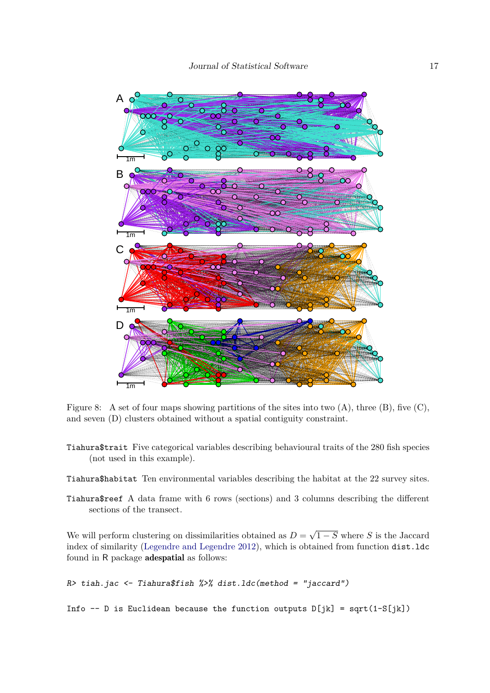

<span id="page-16-0"></span>Figure 8: A set of four maps showing partitions of the sites into two  $(A)$ , three  $(B)$ , five  $(C)$ , and seven (D) clusters obtained without a spatial contiguity constraint.

Tiahura\$trait Five categorical variables describing behavioural traits of the 280 fish species (not used in this example).

Tiahura\$habitat Ten environmental variables describing the habitat at the 22 survey sites.

Tiahura\$reef A data frame with 6 rows (sections) and 3 columns describing the different sections of the transect.

We will perform clustering on dissimilarities obtained as  $D =$ √ 1 − *S* where *S* is the Jaccard index of similarity [\(Legendre and Legendre](#page-24-2) [2012\)](#page-24-2), which is obtained from function dist.ldc found in R package adespatial as follows:

```
R> tiah.jac <- Tiahura$fish %>% dist.ldc(method = "jaccard")
```
Info -- D is Euclidean because the function outputs  $D[jk]$  = sqrt(1-S[jk])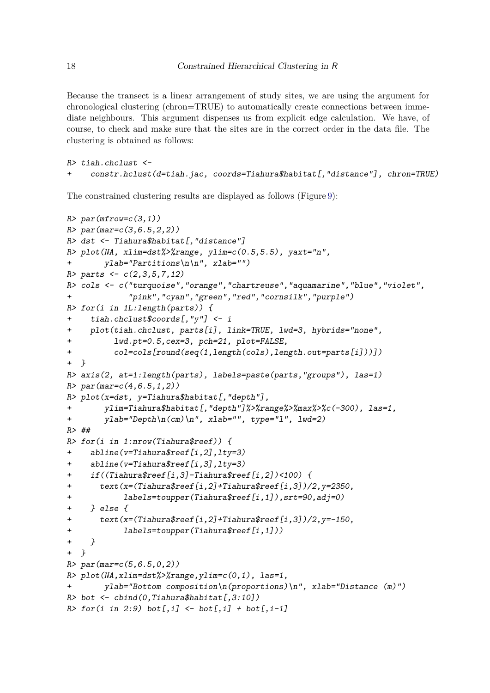Because the transect is a linear arrangement of study sites, we are using the argument for chronological clustering (chron=TRUE) to automatically create connections between immediate neighbours. This argument dispenses us from explicit edge calculation. We have, of course, to check and make sure that the sites are in the correct order in the data file. The clustering is obtained as follows:

```
R> tiah.chclust \leftarrow+ constr.hclust(d=tiah.jac, coords=Tiahura$habitat[,"distance"], chron=TRUE)
```
The constrained clustering results are displayed as follows (Figure [9\)](#page-19-0):

```
R> par(mfrow=c(3,1))
R> par(mar=c(3,6.5,2,2))
R> dst <- Tiahura$habitat[,"distance"]
R> plot(NA, xlim=dst%>%range, ylim=c(0.5,5.5), yaxt="n",
+ ylab="Partitions\n\n", xlab="")
R> parts <- c(2,3,5,7,12)R> cols <- c("turquoise","orange","chartreuse","aquamarine","blue","violet",
+ "pink","cyan","green","red","cornsilk","purple")
R> for(i in 1L:length(parts)) {
+ tiah.chclust$coords[,"y"] <- i
+ plot(tiah.chclust, parts[i], link=TRUE, lwd=3, hybrids="none",
+ lwd.pt=0.5,cex=3, pch=21, plot=FALSE,
+ col=cols[round(seq(1,length(cols),length.out=parts[i]))])
+ }
R> axis(2, at=1:length(parts), labels=paste(parts,"groups"), las=1)
R> par(max=c(4, 6.5, 1, 2))R> plot(x=dst, y=Tiahura$habitat[, "depth"],
+ ylim=Tiahura$habitat[,"depth"]%>%range%>%max%>%c(-300), las=1,
+ ylab="Depth\n(cm)\n", xlab="", type="l", lwd=2)
R> ##
R> for(i in 1:nrow(Tiahura$reef)) {
    abline(v=Tiahura$reef[i,2],lty=3)
+ abline(v=Tiahura$reef[i,3],lty=3)
+ if((Tiahura$reef[i,3]-Tiahura$reef[i,2])<100) {
+ text(x=(Tiahura$reef[i,2]+Tiahura$reef[i,3])/2,y=2350,
+ labels=toupper(Tiahura$reef[i,1]),srt=90,adj=0)
+ } else {
+ text(x=(Tiahura$reef[i,2]+Tiahura$reef[i,3])/2,y=-150,
+ labels=toupper(Tiahura$reef[i,1]))
+ }
+ }
R> par(max=c(5, 6.5, 0, 2))R> plot(NA,xlim=dst%>%range,ylim=c(0,1), las=1,
+ ylab="Bottom composition\n(proportions)\n", xlab="Distance (m)")
R> bot \leftarrow cbind(0, Tiahura$habitat[,3:10])
R> for (i in 2:9) bot[, i] < - bot[, i] + bot[, i-1]
```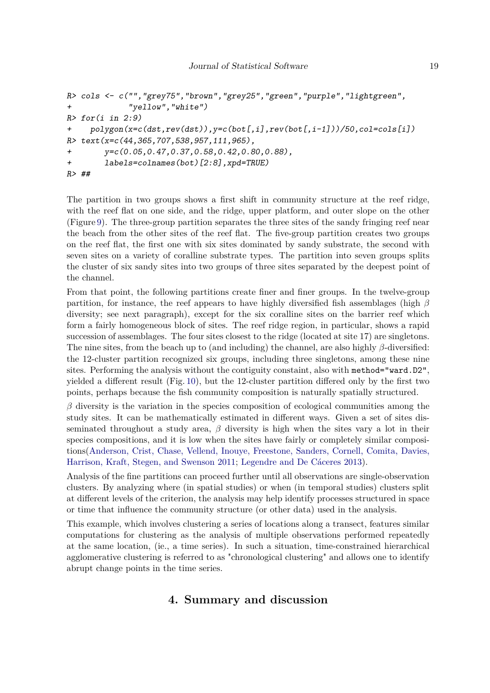```
R> cols <- c("","grey75","brown","grey25","green","purple","lightgreen",
+ "yellow","white")
R> for (i in 2:9)+ polygon(x=c(dst,rev(dst)),y=c(bot[,i],rev(bot[,i-1]))/50,col=cols[i])
R> text(x=c(44,365,707,538,957,111,965),
+ y=c(0.05,0.47,0.37,0.58,0.42,0.80,0.88),
+ labels=colnames(bot)[2:8],xpd=TRUE)
R> ##
```
The partition in two groups shows a first shift in community structure at the reef ridge, with the reef flat on one side, and the ridge, upper platform, and outer slope on the other (Figure [9\)](#page-19-0). The three-group partition separates the three sites of the sandy fringing reef near the beach from the other sites of the reef flat. The five-group partition creates two groups on the reef flat, the first one with six sites dominated by sandy substrate, the second with seven sites on a variety of coralline substrate types. The partition into seven groups splits the cluster of six sandy sites into two groups of three sites separated by the deepest point of the channel.

From that point, the following partitions create finer and finer groups. In the twelve-group partition, for instance, the reef appears to have highly diversified fish assemblages (high *β* diversity; see next paragraph), except for the six coralline sites on the barrier reef which form a fairly homogeneous block of sites. The reef ridge region, in particular, shows a rapid succession of assemblages. The four sites closest to the ridge (located at site 17) are singletons. The nine sites, from the beach up to (and including) the channel, are also highly *β*-diversified: the 12-cluster partition recognized six groups, including three singletons, among these nine sites. Performing the analysis without the contiguity constaint, also with method="ward.D2", yielded a different result (Fig. [10\)](#page-20-0), but the 12-cluster partition differed only by the first two points, perhaps because the fish community composition is naturally spatially structured.

*β* diversity is the variation in the species composition of ecological communities among the study sites. It can be mathematically estimated in different ways. Given a set of sites disseminated throughout a study area,  $\beta$  diversity is high when the sites vary a lot in their species compositions, and it is low when the sites have fairly or completely similar compositions[\(Anderson, Crist, Chase, Vellend, Inouye, Freestone, Sanders, Cornell, Comita, Davies,](#page-23-6) [Harrison, Kraft, Stegen, and Swenson](#page-23-6) [2011;](#page-23-6) [Legendre and De Cáceres](#page-24-10) [2013\)](#page-24-10).

Analysis of the fine partitions can proceed further until all observations are single-observation clusters. By analyzing where (in spatial studies) or when (in temporal studies) clusters split at different levels of the criterion, the analysis may help identify processes structured in space or time that influence the community structure (or other data) used in the analysis.

This example, which involves clustering a series of locations along a transect, features similar computations for clustering as the analysis of multiple observations performed repeatedly at the same location, (ie., a time series). In such a situation, time-constrained hierarchical agglomerative clustering is referred to as "chronological clustering" and allows one to identify abrupt change points in the time series.

# **4. Summary and discussion**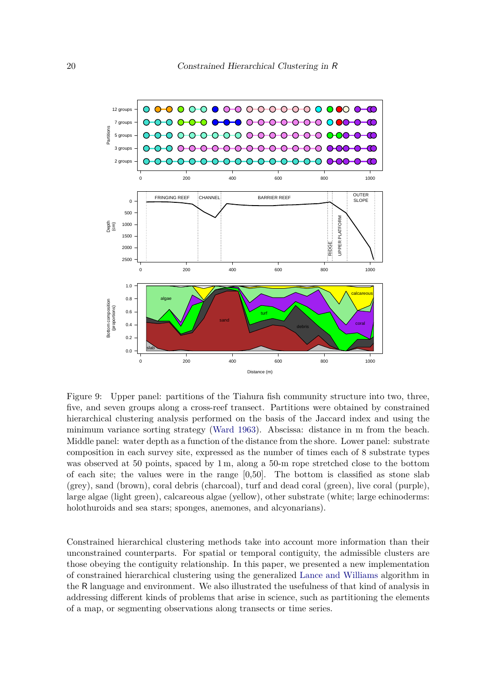

<span id="page-19-0"></span>Figure 9: Upper panel: partitions of the Tiahura fish community structure into two, three, five, and seven groups along a cross-reef transect. Partitions were obtained by constrained hierarchical clustering analysis performed on the basis of the Jaccard index and using the minimum variance sorting strategy [\(Ward](#page-25-2) [1963\)](#page-25-2). Abscissa: distance in m from the beach. Middle panel: water depth as a function of the distance from the shore. Lower panel: substrate composition in each survey site, expressed as the number of times each of 8 substrate types was observed at 50 points, spaced by 1 m, along a 50-m rope stretched close to the bottom of each site; the values were in the range [0,50]. The bottom is classified as stone slab (grey), sand (brown), coral debris (charcoal), turf and dead coral (green), live coral (purple), large algae (light green), calcareous algae (yellow), other substrate (white; large echinoderms: holothuroids and sea stars; sponges, anemones, and alcyonarians).

Constrained hierarchical clustering methods take into account more information than their unconstrained counterparts. For spatial or temporal contiguity, the admissible clusters are those obeying the contiguity relationship. In this paper, we presented a new implementation of constrained hierarchical clustering using the generalized [Lance and Williams](#page-24-0) algorithm in the R language and environment. We also illustrated the usefulness of that kind of analysis in addressing different kinds of problems that arise in science, such as partitioning the elements of a map, or segmenting observations along transects or time series.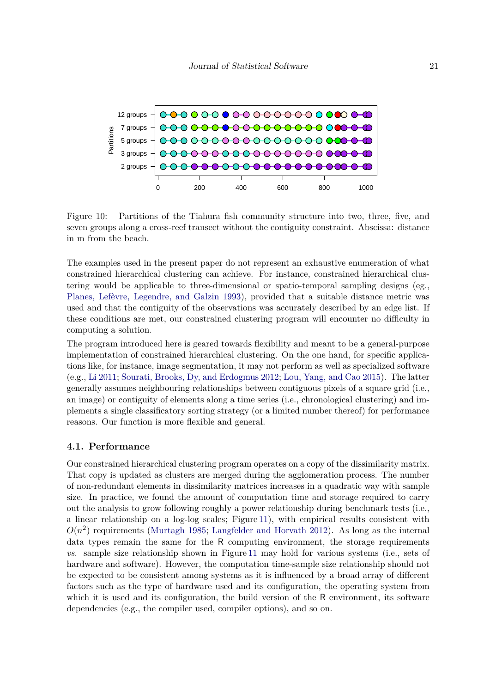

<span id="page-20-0"></span>Figure 10: Partitions of the Tiahura fish community structure into two, three, five, and seven groups along a cross-reef transect without the contiguity constraint. Abscissa: distance in m from the beach.

The examples used in the present paper do not represent an exhaustive enumeration of what constrained hierarchical clustering can achieve. For instance, constrained hierarchical clustering would be applicable to three-dimensional or spatio-temporal sampling designs (eg., [Planes, Lefèvre, Legendre, and Galzin](#page-25-3) [1993\)](#page-25-3), provided that a suitable distance metric was used and that the contiguity of the observations was accurately described by an edge list. If these conditions are met, our constrained clustering program will encounter no difficulty in computing a solution.

The program introduced here is geared towards flexibility and meant to be a general-purpose implementation of constrained hierarchical clustering. On the one hand, for specific applications like, for instance, image segmentation, it may not perform as well as specialized software (e.g., [Li](#page-24-11) [2011;](#page-24-11) [Sourati, Brooks, Dy, and Erdogmus](#page-25-4) [2012;](#page-25-4) [Lou, Yang, and Cao](#page-24-12) [2015\)](#page-24-12). The latter generally assumes neighbouring relationships between contiguous pixels of a square grid (i.e., an image) or contiguity of elements along a time series (i.e., chronological clustering) and implements a single classificatory sorting strategy (or a limited number thereof) for performance reasons. Our function is more flexible and general.

#### **4.1. Performance**

Our constrained hierarchical clustering program operates on a copy of the dissimilarity matrix. That copy is updated as clusters are merged during the agglomeration process. The number of non-redundant elements in dissimilarity matrices increases in a quadratic way with sample size. In practice, we found the amount of computation time and storage required to carry out the analysis to grow following roughly a power relationship during benchmark tests (i.e., a linear relationship on a log-log scales; Figure [11\)](#page-21-0), with empirical results consistent with  $O(n^2)$  requirements [\(Murtagh](#page-24-3) [1985;](#page-24-3) [Langfelder and Horvath](#page-24-5) [2012\)](#page-24-5). As long as the internal data types remain the same for the R computing environment, the storage requirements *vs.* sample size relationship shown in Figure [11](#page-21-0) may hold for various systems (i.e., sets of hardware and software). However, the computation time-sample size relationship should not be expected to be consistent among systems as it is influenced by a broad array of different factors such as the type of hardware used and its configuration, the operating system from which it is used and its configuration, the build version of the R environment, its software dependencies (e.g., the compiler used, compiler options), and so on.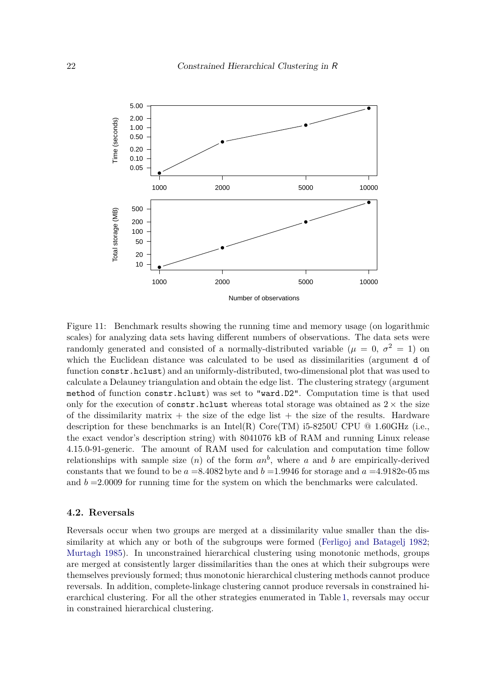

<span id="page-21-0"></span>Figure 11: Benchmark results showing the running time and memory usage (on logarithmic scales) for analyzing data sets having different numbers of observations. The data sets were randomly generated and consisted of a normally-distributed variable ( $\mu = 0, \sigma^2 = 1$ ) on which the Euclidean distance was calculated to be used as dissimilarities (argument d of function constr.hclust) and an uniformly-distributed, two-dimensional plot that was used to calculate a Delauney triangulation and obtain the edge list. The clustering strategy (argument method of function constr.hclust) was set to "ward.D2". Computation time is that used only for the execution of constr.hclust whereas total storage was obtained as  $2 \times$  the size of the dissimilarity matrix  $+$  the size of the edge list  $+$  the size of the results. Hardware description for these benchmarks is an Intel(R)  $Core(TM)$  i5-8250U CPU  $@$  1.60GHz (i.e., the exact vendor's description string) with 8041076 kB of RAM and running Linux release 4.15.0-91-generic. The amount of RAM used for calculation and computation time follow relationships with sample size  $(n)$  of the form  $an^b$ , where a and b are empirically-derived constants that we found to be  $a = 8.4082$  byte and  $b = 1.9946$  for storage and  $a = 4.9182e-05$  ms and  $b = 2.0009$  for running time for the system on which the benchmarks were calculated.

#### **4.2. Reversals**

Reversals occur when two groups are merged at a dissimilarity value smaller than the dissimilarity at which any or both of the subgroups were formed [\(Ferligoj and Batagelj](#page-23-7) [1982;](#page-23-7) [Murtagh](#page-24-3) [1985\)](#page-24-3). In unconstrained hierarchical clustering using monotonic methods, groups are merged at consistently larger dissimilarities than the ones at which their subgroups were themselves previously formed; thus monotonic hierarchical clustering methods cannot produce reversals. In addition, complete-linkage clustering cannot produce reversals in constrained hierarchical clustering. For all the other strategies enumerated in Table [1,](#page-4-0) reversals may occur in constrained hierarchical clustering.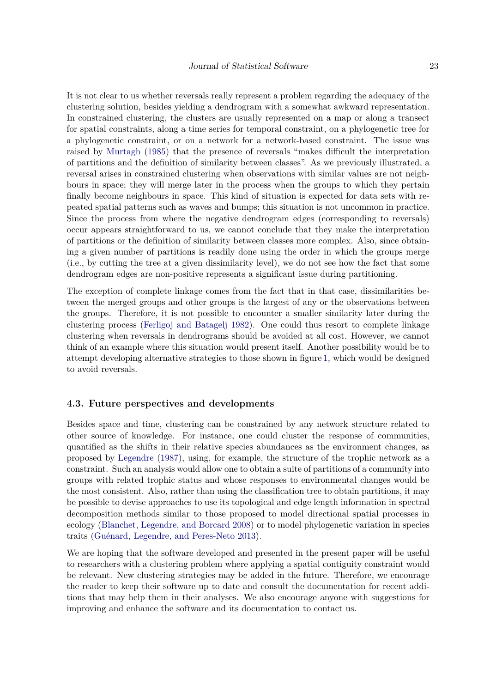It is not clear to us whether reversals really represent a problem regarding the adequacy of the clustering solution, besides yielding a dendrogram with a somewhat awkward representation. In constrained clustering, the clusters are usually represented on a map or along a transect for spatial constraints, along a time series for temporal constraint, on a phylogenetic tree for a phylogenetic constraint, or on a network for a network-based constraint. The issue was raised by [Murtagh](#page-24-3) [\(1985\)](#page-24-3) that the presence of reversals "makes difficult the interpretation of partitions and the definition of similarity between classes". As we previously illustrated, a reversal arises in constrained clustering when observations with similar values are not neighbours in space; they will merge later in the process when the groups to which they pertain finally become neighbours in space. This kind of situation is expected for data sets with repeated spatial patterns such as waves and bumps; this situation is not uncommon in practice. Since the process from where the negative dendrogram edges (corresponding to reversals) occur appears straightforward to us, we cannot conclude that they make the interpretation of partitions or the definition of similarity between classes more complex. Also, since obtaining a given number of partitions is readily done using the order in which the groups merge (i.e., by cutting the tree at a given dissimilarity level), we do not see how the fact that some dendrogram edges are non-positive represents a significant issue during partitioning.

The exception of complete linkage comes from the fact that in that case, dissimilarities between the merged groups and other groups is the largest of any or the observations between the groups. Therefore, it is not possible to encounter a smaller similarity later during the clustering process [\(Ferligoj and Batagelj](#page-23-7) [1982\)](#page-23-7). One could thus resort to complete linkage clustering when reversals in dendrograms should be avoided at all cost. However, we cannot think of an example where this situation would present itself. Another possibility would be to attempt developing alternative strategies to those shown in figure [1,](#page-4-0) which would be designed to avoid reversals.

#### **4.3. Future perspectives and developments**

Besides space and time, clustering can be constrained by any network structure related to other source of knowledge. For instance, one could cluster the response of communities, quantified as the shifts in their relative species abundances as the environment changes, as proposed by [Legendre](#page-24-13) [\(1987\)](#page-24-13), using, for example, the structure of the trophic network as a constraint. Such an analysis would allow one to obtain a suite of partitions of a community into groups with related trophic status and whose responses to environmental changes would be the most consistent. Also, rather than using the classification tree to obtain partitions, it may be possible to devise approaches to use its topological and edge length information in spectral decomposition methods similar to those proposed to model directional spatial processes in ecology [\(Blanchet, Legendre, and Borcard](#page-23-8) [2008\)](#page-23-8) or to model phylogenetic variation in species traits [\(Guénard, Legendre, and Peres-Neto](#page-24-14) [2013\)](#page-24-14).

We are hoping that the software developed and presented in the present paper will be useful to researchers with a clustering problem where applying a spatial contiguity constraint would be relevant. New clustering strategies may be added in the future. Therefore, we encourage the reader to keep their software up to date and consult the documentation for recent additions that may help them in their analyses. We also encourage anyone with suggestions for improving and enhance the software and its documentation to contact us.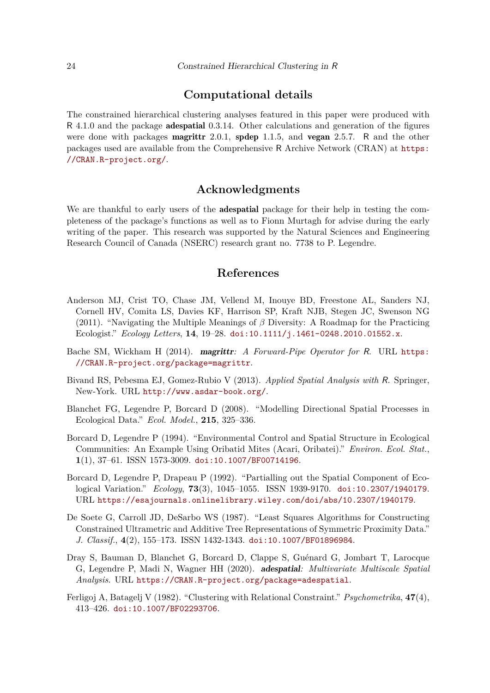# **Computational details**

The constrained hierarchical clustering analyses featured in this paper were produced with R 4.1.0 and the package adespatial 0.3.14. Other calculations and generation of the figures were done with packages **magrittr** 2.0.1, **spdep** 1.1.5, and **vegan** 2.5.7. R and the other packages used are available from the Comprehensive R Archive Network (CRAN) at [https:](https://CRAN.R-project.org/) [//CRAN.R-project.org/](https://CRAN.R-project.org/).

# **Acknowledgments**

We are thankful to early users of the **adespatial** package for their help in testing the completeness of the package's functions as well as to Fionn Murtagh for advise during the early writing of the paper. This research was supported by the Natural Sciences and Engineering Research Council of Canada (NSERC) research grant no. 7738 to P. Legendre.

## **References**

- <span id="page-23-6"></span>Anderson MJ, Crist TO, Chase JM, Vellend M, Inouye BD, Freestone AL, Sanders NJ, Cornell HV, Comita LS, Davies KF, Harrison SP, Kraft NJB, Stegen JC, Swenson NG (2011). "Navigating the Multiple Meanings of *β* Diversity: A Roadmap for the Practicing Ecologist." *Ecology Letters*, **14**, 19–28. [doi:10.1111/j.1461-0248.2010.01552.x](http://dx.doi.org/10.1111/j.1461-0248.2010.01552.x).
- <span id="page-23-2"></span>Bache SM, Wickham H (2014). magrittr*: A Forward-Pipe Operator for* R. URL [https:](https://CRAN.R-project.org/package=magrittr) [//CRAN.R-project.org/package=magrittr](https://CRAN.R-project.org/package=magrittr).
- <span id="page-23-3"></span>Bivand RS, Pebesma EJ, Gomez-Rubio V (2013). *Applied Spatial Analysis with* R*.* Springer, New-York. URL <http://www.asdar-book.org/>.
- <span id="page-23-8"></span>Blanchet FG, Legendre P, Borcard D (2008). "Modelling Directional Spatial Processes in Ecological Data." *Ecol. Model.*, **215**, 325–336.
- <span id="page-23-5"></span>Borcard D, Legendre P (1994). "Environmental Control and Spatial Structure in Ecological Communities: An Example Using Oribatid Mites (Acari, Oribatei)." *Environ. Ecol. Stat.*, **1**(1), 37–61. ISSN 1573-3009. [doi:10.1007/BF00714196](http://dx.doi.org/10.1007/BF00714196).
- <span id="page-23-4"></span>Borcard D, Legendre P, Drapeau P (1992). "Partialling out the Spatial Component of Ecological Variation." *Ecology*, **73**(3), 1045–1055. ISSN 1939-9170. [doi:10.2307/1940179](http://dx.doi.org/10.2307/1940179). URL <https://esajournals.onlinelibrary.wiley.com/doi/abs/10.2307/1940179>.
- <span id="page-23-0"></span>De Soete G, Carroll JD, DeSarbo WS (1987). "Least Squares Algorithms for Constructing Constrained Ultrametric and Additive Tree Representations of Symmetric Proximity Data." *J. Classif.*, **4**(2), 155–173. ISSN 1432-1343. [doi:10.1007/BF01896984](http://dx.doi.org/10.1007/BF01896984).
- <span id="page-23-1"></span>Dray S, Bauman D, Blanchet G, Borcard D, Clappe S, Guénard G, Jombart T, Larocque G, Legendre P, Madi N, Wagner HH (2020). adespatial*: Multivariate Multiscale Spatial Analysis*. URL <https://CRAN.R-project.org/package=adespatial>.
- <span id="page-23-7"></span>Ferligoj A, Batagelj V (1982). "Clustering with Relational Constraint." *Psychometrika*, **47**(4), 413–426. [doi:10.1007/BF02293706](http://dx.doi.org/10.1007/BF02293706).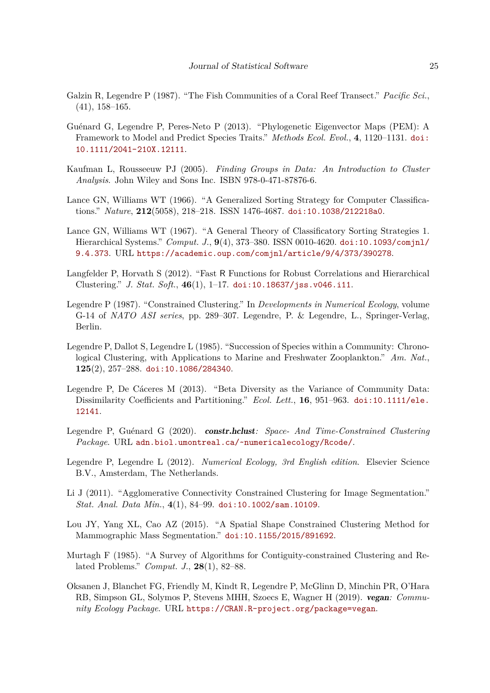- <span id="page-24-9"></span>Galzin R, Legendre P (1987). "The Fish Communities of a Coral Reef Transect." *Pacific Sci.*, (41), 158–165.
- <span id="page-24-14"></span>Guénard G, Legendre P, Peres-Neto P (2013). "Phylogenetic Eigenvector Maps (PEM): A Framework to Model and Predict Species Traits." *Methods Ecol. Evol.*, **4**, 1120–1131. [doi:](http://dx.doi.org/10.1111/2041-210X.12111) [10.1111/2041-210X.12111](http://dx.doi.org/10.1111/2041-210X.12111).
- <span id="page-24-6"></span>Kaufman L, Rousseeuw PJ (2005). *Finding Groups in Data: An Introduction to Cluster Analysis*. John Wiley and Sons Inc. ISBN 978-0-471-87876-6.
- <span id="page-24-0"></span>Lance GN, Williams WT (1966). "A Generalized Sorting Strategy for Computer Classifications." *Nature*, **212**(5058), 218–218. ISSN 1476-4687. [doi:10.1038/212218a0](http://dx.doi.org/10.1038/212218a0).
- <span id="page-24-1"></span>Lance GN, Williams WT (1967). "A General Theory of Classificatory Sorting Strategies 1. Hierarchical Systems." *Comput. J.*, **9**(4), 373–380. ISSN 0010-4620. [doi:10.1093/comjnl/](http://dx.doi.org/10.1093/comjnl/9.4.373) [9.4.373](http://dx.doi.org/10.1093/comjnl/9.4.373). URL <https://academic.oup.com/comjnl/article/9/4/373/390278>.
- <span id="page-24-5"></span>Langfelder P, Horvath S (2012). "Fast R Functions for Robust Correlations and Hierarchical Clustering." *J. Stat. Soft.*, **46**(1), 1–17. [doi:10.18637/jss.v046.i11](http://dx.doi.org/10.18637/jss.v046.i11).
- <span id="page-24-13"></span>Legendre P (1987). "Constrained Clustering." In *Developments in Numerical Ecology*, volume G-14 of *NATO ASI series*, pp. 289–307. Legendre, P. & Legendre, L., Springer-Verlag, Berlin.
- <span id="page-24-4"></span>Legendre P, Dallot S, Legendre L (1985). "Succession of Species within a Community: Chronological Clustering, with Applications to Marine and Freshwater Zooplankton." *Am. Nat.*, **125**(2), 257–288. [doi:10.1086/284340](http://dx.doi.org/10.1086/284340).
- <span id="page-24-10"></span>Legendre P, De Cáceres M (2013). "Beta Diversity as the Variance of Community Data: Dissimilarity Coefficients and Partitioning." *Ecol. Lett.*, **16**, 951–963. [doi:10.1111/ele.](http://dx.doi.org/10.1111/ele.12141) [12141](http://dx.doi.org/10.1111/ele.12141).
- <span id="page-24-7"></span>Legendre P, Guénard G (2020). constr.hclust*: Space- And Time-Constrained Clustering Package*. URL <adn.biol.umontreal.ca/~numericalecology/Rcode/>.
- <span id="page-24-2"></span>Legendre P, Legendre L (2012). *Numerical Ecology, 3rd English edition*. Elsevier Science B.V., Amsterdam, The Netherlands.
- <span id="page-24-11"></span>Li J (2011). "Agglomerative Connectivity Constrained Clustering for Image Segmentation." *Stat. Anal. Data Min.*, **4**(1), 84–99. [doi:10.1002/sam.10109](http://dx.doi.org/10.1002/sam.10109).
- <span id="page-24-12"></span>Lou JY, Yang XL, Cao AZ (2015). "A Spatial Shape Constrained Clustering Method for Mammographic Mass Segmentation." [doi:10.1155/2015/891692](http://dx.doi.org/10.1155/2015/891692).
- <span id="page-24-3"></span>Murtagh F (1985). "A Survey of Algorithms for Contiguity-constrained Clustering and Related Problems." *Comput. J.*, **28**(1), 82–88.
- <span id="page-24-8"></span>Oksanen J, Blanchet FG, Friendly M, Kindt R, Legendre P, McGlinn D, Minchin PR, O'Hara RB, Simpson GL, Solymos P, Stevens MHH, Szoecs E, Wagner H (2019). vegan*: Community Ecology Package*. URL <https://CRAN.R-project.org/package=vegan>.